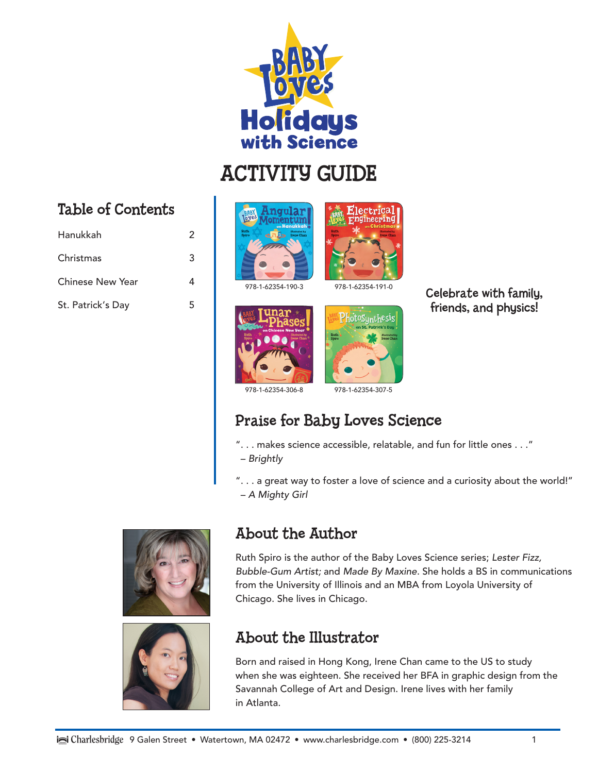

# ACTIVITY GUIDE

#### Table of Contents

| Hanukkah                | 2 |
|-------------------------|---|
| Christmas               | 3 |
| <b>Chinese New Year</b> |   |
| St. Patrick's Day       | 5 |





978-1-62354-190-3 978-1-62354-191-0





Celebrate with family, friends, and physics!

978-1-62354-306-8 978-1-62354-307-5

#### Praise for Baby Loves Science

- ". . . makes science accessible, relatable, and fun for little ones . . ."
- – *Brightly*

". . . a great way to foster a love of science and a curiosity about the world!" – *A Mighty Girl*





#### About the Author

Ruth Spiro is the author of the Baby Loves Science series; *Lester Fizz, Bubble-Gum Artist;* and *Made By Maxine.* She holds a BS in communications from the University of Illinois and an MBA from Loyola University of Chicago. She lives in Chicago.

#### About the Illustrator

Born and raised in Hong Kong, Irene Chan came to the US to study when she was eighteen. She received her BFA in graphic design from the Savannah College of Art and Design. Irene lives with her family in Atlanta.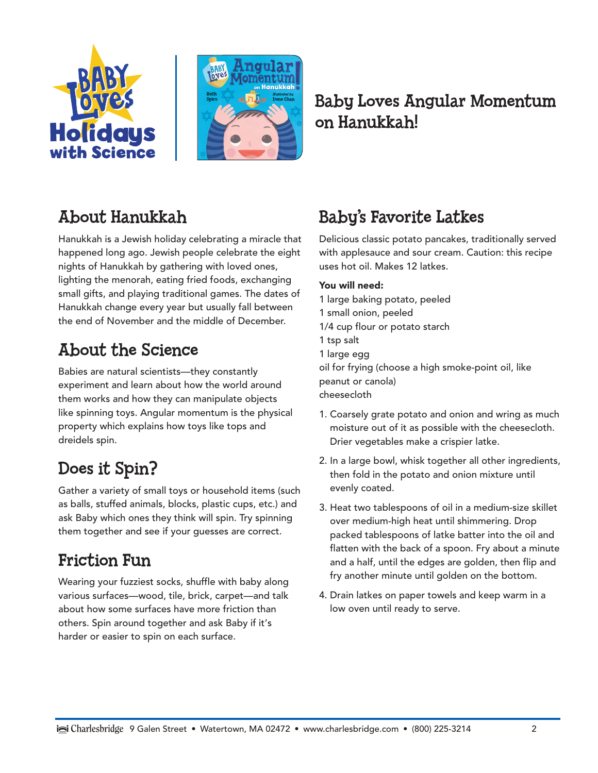



#### Baby Loves Angular Momentum on Hanukkah!

### About Hanukkah

Hanukkah is a Jewish holiday celebrating a miracle that happened long ago. Jewish people celebrate the eight nights of Hanukkah by gathering with loved ones, lighting the menorah, eating fried foods, exchanging small gifts, and playing traditional games. The dates of Hanukkah change every year but usually fall between the end of November and the middle of December.

### About the Science

Babies are natural scientists—they constantly experiment and learn about how the world around them works and how they can manipulate objects like spinning toys. Angular momentum is the physical property which explains how toys like tops and dreidels spin.

#### Does it Spin?

Gather a variety of small toys or household items (such as balls, stuffed animals, blocks, plastic cups, etc.) and ask Baby which ones they think will spin. Try spinning them together and see if your guesses are correct.

#### Friction Fun

Wearing your fuzziest socks, shuffle with baby along various surfaces—wood, tile, brick, carpet—and talk about how some surfaces have more friction than others. Spin around together and ask Baby if it's harder or easier to spin on each surface.

### Baby's Favorite Latkes

Delicious classic potato pancakes, traditionally served with applesauce and sour cream. Caution: this recipe uses hot oil. Makes 12 latkes.

- 1 large baking potato, peeled 1 small onion, peeled 1/4 cup flour or potato starch 1 tsp salt 1 large egg oil for frying (choose a high smoke-point oil, like peanut or canola) cheesecloth
- 1. Coarsely grate potato and onion and wring as much moisture out of it as possible with the cheesecloth. Drier vegetables make a crispier latke.
- 2. In a large bowl, whisk together all other ingredients, then fold in the potato and onion mixture until evenly coated.
- 3. Heat two tablespoons of oil in a medium-size skillet over medium-high heat until shimmering. Drop packed tablespoons of latke batter into the oil and flatten with the back of a spoon. Fry about a minute and a half, until the edges are golden, then flip and fry another minute until golden on the bottom.
- 4. Drain latkes on paper towels and keep warm in a low oven until ready to serve.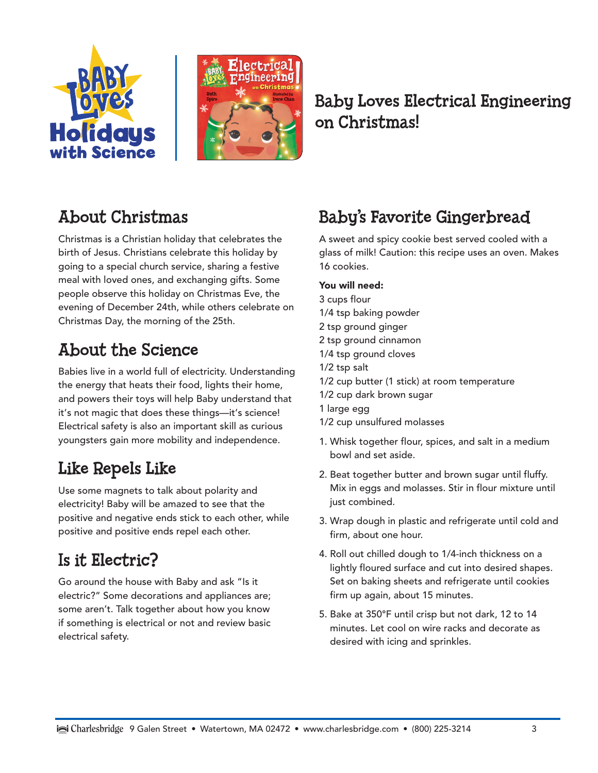



#### Baby Loves Electrical Engineering on Christmas!

### About Christmas

Christmas is a Christian holiday that celebrates the birth of Jesus. Christians celebrate this holiday by going to a special church service, sharing a festive meal with loved ones, and exchanging gifts. Some people observe this holiday on Christmas Eve, the evening of December 24th, while others celebrate on Christmas Day, the morning of the 25th.

### About the Science

Babies live in a world full of electricity. Understanding the energy that heats their food, lights their home, and powers their toys will help Baby understand that it's not magic that does these things—it's science! Electrical safety is also an important skill as curious youngsters gain more mobility and independence.

#### Like Repels Like

Use some magnets to talk about polarity and electricity! Baby will be amazed to see that the positive and negative ends stick to each other, while positive and positive ends repel each other.

#### Is it Electric?

Go around the house with Baby and ask "Is it electric?" Some decorations and appliances are; some aren't. Talk together about how you know if something is electrical or not and review basic electrical safety.

#### Baby's Favorite Gingerbread

A sweet and spicy cookie best served cooled with a glass of milk! Caution: this recipe uses an oven. Makes 16 cookies.

- 3 cups flour
- 1/4 tsp baking powder
- 2 tsp ground ginger
- 2 tsp ground cinnamon
- 1/4 tsp ground cloves
- 1/2 tsp salt
- 1/2 cup butter (1 stick) at room temperature
- 1/2 cup dark brown sugar
- 1 large egg
- 1/2 cup unsulfured molasses
- 1. Whisk together flour, spices, and salt in a medium bowl and set aside.
- 2. Beat together butter and brown sugar until fluffy. Mix in eggs and molasses. Stir in flour mixture until just combined.
- 3. Wrap dough in plastic and refrigerate until cold and firm, about one hour.
- 4. Roll out chilled dough to 1/4-inch thickness on a lightly floured surface and cut into desired shapes. Set on baking sheets and refrigerate until cookies firm up again, about 15 minutes.
- 5. Bake at 350°F until crisp but not dark, 12 to 14 minutes. Let cool on wire racks and decorate as desired with icing and sprinkles.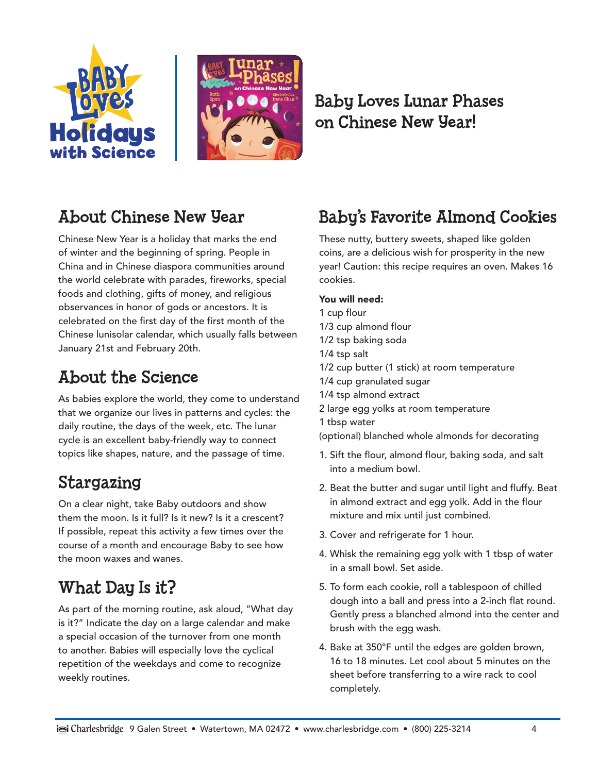



#### Baby Loves Lunar Phases on Chinese New Year!

#### About Chinese New Year

Chinese New Year is a holiday that marks the end of winter and the beginning of spring. People in China and in Chinese diaspora communities around the world celebrate with parades, fireworks, special foods and clothing, gifts of money, and religious observances in honor of gods or ancestors. It is celebrated on the first day of the first month of the Chinese lunisolar calendar, which usually falls between January 21st and February 20th.

### About the Science

As babies explore the world, they come to understand that we organize our lives in patterns and cycles: the daily routine, the days of the week, etc. The lunar cycle is an excellent baby-friendly way to connect topics like shapes, nature, and the passage of time.

#### Stargazing

On a clear night, take Baby outdoors and show them the moon. Is it full? Is it new? Is it a crescent? If possible, repeat this activity a few times over the course of a month and encourage Baby to see how the moon waxes and wanes.

## What Day Is it?

As part of the morning routine, ask aloud, "What day is it?" Indicate the day on a large calendar and make a special occasion of the turnover from one month to another. Babies will especially love the cyclical repetition of the weekdays and come to recognize weekly routines.

### Baby's Favorite Almond Cookies

These nutty, buttery sweets, shaped like golden coins, are a delicious wish for prosperity in the new year! Caution: this recipe requires an oven. Makes 16 cookies.

- 1 cup flour 1/3 cup almond flour 1/2 tsp baking soda 1/4 tsp salt 1/2 cup butter (1 stick) at room temperature 1/4 cup granulated sugar 1/4 tsp almond extract 2 large egg yolks at room temperature 1 tbsp water (optional) blanched whole almonds for decorating
- 1. Sift the flour, almond flour, baking soda, and salt into a medium bowl.
- 2. Beat the butter and sugar until light and fluffy. Beat in almond extract and egg yolk. Add in the flour mixture and mix until just combined.
- 3. Cover and refrigerate for 1 hour.
- 4. Whisk the remaining egg yolk with 1 tbsp of water in a small bowl. Set aside.
- 5. To form each cookie, roll a tablespoon of chilled dough into a ball and press into a 2-inch flat round. Gently press a blanched almond into the center and brush with the egg wash.
- 4. Bake at 350°F until the edges are golden brown, 16 to 18 minutes. Let cool about 5 minutes on the sheet before transferring to a wire rack to cool completely.